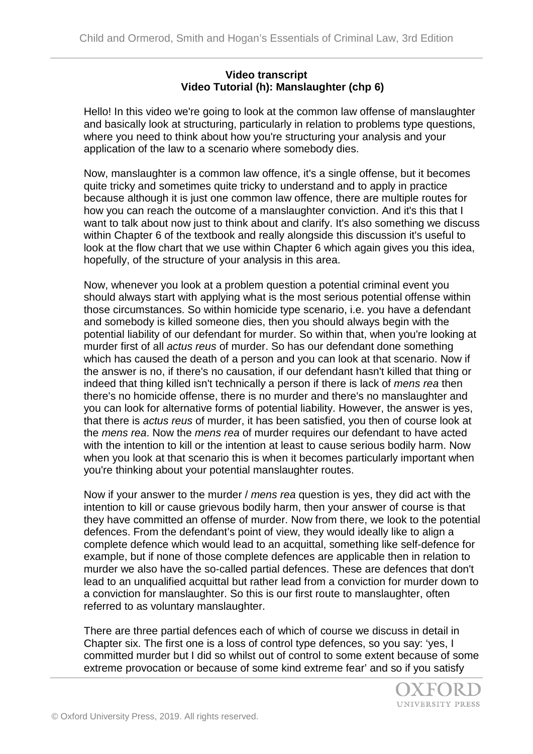## **Video transcript Video Tutorial (h): Manslaughter (chp 6)**

Hello! In this video we're going to look at the common law offense of manslaughter and basically look at structuring, particularly in relation to problems type questions, where you need to think about how you're structuring your analysis and your application of the law to a scenario where somebody dies.

Now, manslaughter is a common law offence, it's a single offense, but it becomes quite tricky and sometimes quite tricky to understand and to apply in practice because although it is just one common law offence, there are multiple routes for how you can reach the outcome of a manslaughter conviction. And it's this that I want to talk about now just to think about and clarify. It's also something we discuss within Chapter 6 of the textbook and really alongside this discussion it's useful to look at the flow chart that we use within Chapter 6 which again gives you this idea, hopefully, of the structure of your analysis in this area.

Now, whenever you look at a problem question a potential criminal event you should always start with applying what is the most serious potential offense within those circumstances. So within homicide type scenario, i.e. you have a defendant and somebody is killed someone dies, then you should always begin with the potential liability of our defendant for murder. So within that, when you're looking at murder first of all *actus reus* of murder. So has our defendant done something which has caused the death of a person and you can look at that scenario. Now if the answer is no, if there's no causation, if our defendant hasn't killed that thing or indeed that thing killed isn't technically a person if there is lack of *mens rea* then there's no homicide offense, there is no murder and there's no manslaughter and you can look for alternative forms of potential liability. However, the answer is yes, that there is *actus reus* of murder, it has been satisfied, you then of course look at the *mens rea*. Now the *mens rea* of murder requires our defendant to have acted with the intention to kill or the intention at least to cause serious bodily harm. Now when you look at that scenario this is when it becomes particularly important when you're thinking about your potential manslaughter routes.

Now if your answer to the murder / *mens rea* question is yes, they did act with the intention to kill or cause grievous bodily harm, then your answer of course is that they have committed an offense of murder. Now from there, we look to the potential defences. From the defendant's point of view, they would ideally like to align a complete defence which would lead to an acquittal, something like self-defence for example, but if none of those complete defences are applicable then in relation to murder we also have the so-called partial defences. These are defences that don't lead to an unqualified acquittal but rather lead from a conviction for murder down to a conviction for manslaughter. So this is our first route to manslaughter, often referred to as voluntary manslaughter.

There are three partial defences each of which of course we discuss in detail in Chapter six. The first one is a loss of control type defences, so you say: 'yes, I committed murder but I did so whilst out of control to some extent because of some extreme provocation or because of some kind extreme fear' and so if you satisfy